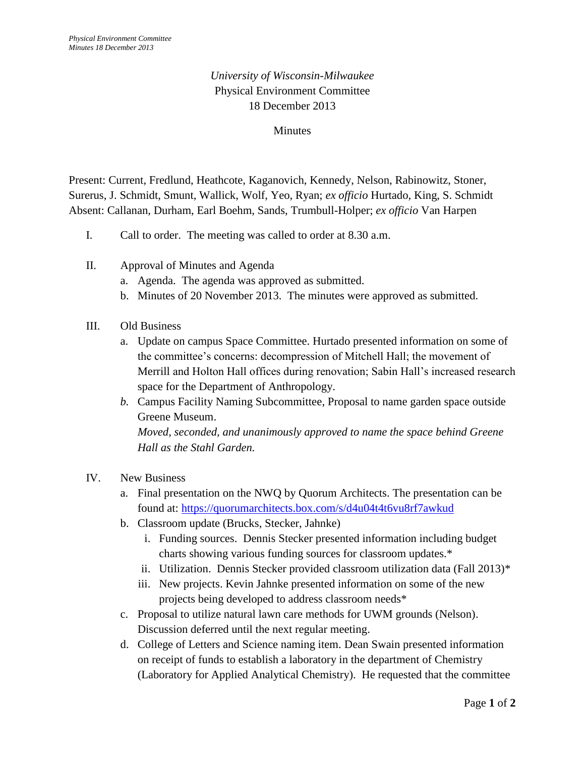## *University of Wisconsin-Milwaukee*  Physical Environment Committee 18 December 2013

## **Minutes**

Present: Current, Fredlund, Heathcote, Kaganovich, Kennedy, Nelson, Rabinowitz, Stoner, Surerus, J. Schmidt, Smunt, Wallick, Wolf, Yeo, Ryan; *ex officio* Hurtado, King, S. Schmidt Absent: Callanan, Durham, Earl Boehm, Sands, Trumbull-Holper; *ex officio* Van Harpen

- I. Call to order. The meeting was called to order at 8.30 a.m.
- II. Approval of Minutes and Agenda
	- a. Agenda. The agenda was approved as submitted.
	- b. Minutes of 20 November 2013. The minutes were approved as submitted.
- III. Old Business
	- a. Update on campus Space Committee. Hurtado presented information on some of the committee's concerns: decompression of Mitchell Hall; the movement of Merrill and Holton Hall offices during renovation; Sabin Hall's increased research space for the Department of Anthropology.
	- *b.* Campus Facility Naming Subcommittee, Proposal to name garden space outside Greene Museum. *Moved, seconded, and unanimously approved to name the space behind Greene Hall as the Stahl Garden.*
- IV. New Business
	- a. Final presentation on the NWQ by Quorum Architects. The presentation can be found at:<https://quorumarchitects.box.com/s/d4u04t4t6vu8rf7awkud>
	- b. Classroom update (Brucks, Stecker, Jahnke)
		- i. Funding sources. Dennis Stecker presented information including budget charts showing various funding sources for classroom updates.\*
		- ii. Utilization. Dennis Stecker provided classroom utilization data (Fall 2013)\*
		- iii. New projects. Kevin Jahnke presented information on some of the new projects being developed to address classroom needs\*
	- c. Proposal to utilize natural lawn care methods for UWM grounds (Nelson). Discussion deferred until the next regular meeting.
	- d. College of Letters and Science naming item. Dean Swain presented information on receipt of funds to establish a laboratory in the department of Chemistry (Laboratory for Applied Analytical Chemistry). He requested that the committee